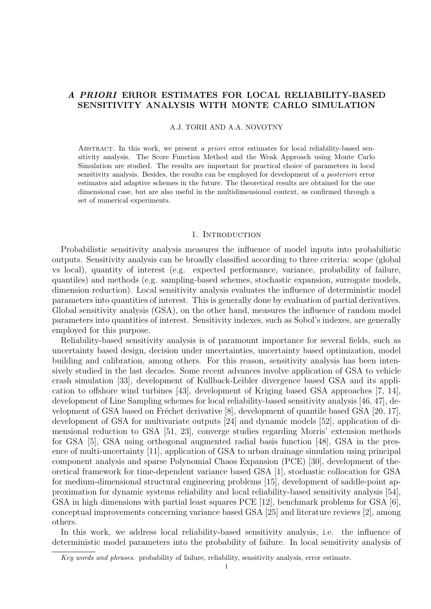# A PRIORI ERROR ESTIMATES FOR LOCAL RELIABILITY-BASED SENSITIVITY ANALYSIS WITH MONTE CARLO SIMULATION

A.J. TORII AND A.A. NOVOTNY

ABSTRACT. In this work, we present a priori error estimates for local reliability-based sensitivity analysis. The Score Function Method and the Weak Approach using Monte Carlo Simulation are studied. The results are important for practical choice of parameters in local sensitivity analysis. Besides, the results can be employed for development of a posteriori error estimates and adaptive schemes in the future. The theoretical results are obtained for the one dimensional case, but are also useful in the multidimensional context, as confirmed through a set of numerical experiments.

### 1. INTRODUCTION

Probabilistic sensitivity analysis measures the influence of model inputs into probabilistic outputs. Sensitivity analysis can be broadly classified according to three criteria: scope (global vs local), quantity of interest (e.g. expected performance, variance, probability of failure, quantiles) and methods (e.g. sampling-based schemes, stochastic expansion, surrogate models, dimension reduction). Local sensitivity analysis evaluates the influence of deterministic model parameters into quantities of interest. This is generally done by evaluation of partial derivatives. Global sensitivity analysis (GSA), on the other hand, measures the influence of random model parameters into quantities of interest. Sensitivity indexes, such as Sobol's indexes, are generally employed for this purpose.

Reliability-based sensitivity analysis is of paramount importance for several fields, such as uncertainty based design, decision under uncertainties, uncertainty based optimization, model building and calibration, among others. For this reason, sensitivity analysis has been intensively studied in the last decades. Some recent advances involve application of GSA to vehicle crash simulation [33], development of Kullback-Leibler divergence based GSA and its application to offshore wind turbines [43], development of Kriging based GSA approaches [7, 14], development of Line Sampling schemes for local reliability-based sensitivity analysis [46, 47], development of GSA based on Fréchet derivative  $[8]$ , development of quantile based GSA  $[20, 17]$ , development of GSA for multivariate outputs [24] and dynamic models [52], application of dimensional reduction to GSA [51, 23], converge studies regarding Morris' extension methods for GSA [5], GSA using orthogonal augmented radial basis function [48], GSA in the presence of multi-uncertainty [11], application of GSA to urban drainage simulation using principal component analysis and sparse Polynomial Chaos Expansion (PCE) [30], development of theoretical framework for time-dependent variance based GSA [1], stochastic collocation for GSA for medium-dimensional structural engineering problems [15], development of saddle-point approximation for dynamic systems reliability and local reliability-based sensitivity analysis [54], GSA in high dimensions with partial least squares PCE [12], benchmark problems for GSA [6], conceptual improvements concerning variance based GSA [25] and literature reviews [2], among others.

In this work, we address local reliability-based sensitivity analysis, i.e. the influence of deterministic model parameters into the probability of failure. In local sensitivity analysis of

Key words and phrases. probability of failure, reliability, sensitivity analysis, error estimate.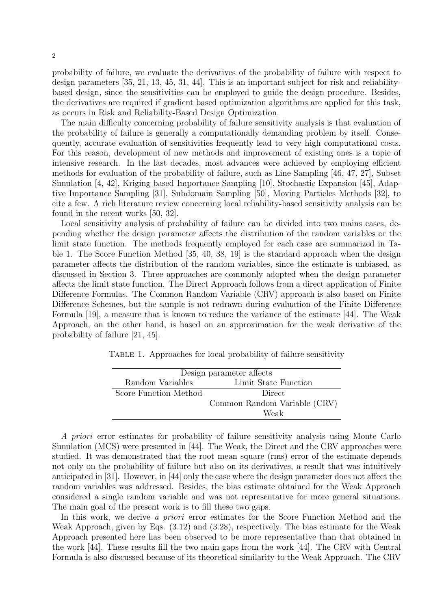probability of failure, we evaluate the derivatives of the probability of failure with respect to design parameters [35, 21, 13, 45, 31, 44]. This is an important subject for risk and reliabilitybased design, since the sensitivities can be employed to guide the design procedure. Besides, the derivatives are required if gradient based optimization algorithms are applied for this task, as occurs in Risk and Reliability-Based Design Optimization.

The main difficulty concerning probability of failure sensitivity analysis is that evaluation of the probability of failure is generally a computationally demanding problem by itself. Consequently, accurate evaluation of sensitivities frequently lead to very high computational costs. For this reason, development of new methods and improvement of existing ones is a topic of intensive research. In the last decades, most advances were achieved by employing efficient methods for evaluation of the probability of failure, such as Line Sampling [46, 47, 27], Subset Simulation [4, 42], Kriging based Importance Sampling [10], Stochastic Expansion [45], Adaptive Importance Sampling [31], Subdomain Sampling [50], Moving Particles Methods [32], to cite a few. A rich literature review concerning local reliability-based sensitivity analysis can be found in the recent works [50, 32].

Local sensitivity analysis of probability of failure can be divided into two mains cases, depending whether the design parameter affects the distribution of the random variables or the limit state function. The methods frequently employed for each case are summarized in Table 1. The Score Function Method [35, 40, 38, 19] is the standard approach when the design parameter affects the distribution of the random variables, since the estimate is unbiased, as discussed in Section 3. Three approaches are commonly adopted when the design parameter affects the limit state function. The Direct Approach follows from a direct application of Finite Difference Formulas. The Common Random Variable (CRV) approach is also based on Finite Difference Schemes, but the sample is not redrawn during evaluation of the Finite Difference Formula [19], a measure that is known to reduce the variance of the estimate [44]. The Weak Approach, on the other hand, is based on an approximation for the weak derivative of the probability of failure [21, 45].

|  | TABLE 1. Approaches for local probability of failure sensitivity |  |  |  |
|--|------------------------------------------------------------------|--|--|--|
|  |                                                                  |  |  |  |

| Design parameter affects |                              |  |  |  |
|--------------------------|------------------------------|--|--|--|
| Random Variables         | Limit State Function         |  |  |  |
| Score Function Method    | Direct                       |  |  |  |
|                          | Common Random Variable (CRV) |  |  |  |
|                          | Weak                         |  |  |  |

A priori error estimates for probability of failure sensitivity analysis using Monte Carlo Simulation (MCS) were presented in [44]. The Weak, the Direct and the CRV approaches were studied. It was demonstrated that the root mean square (rms) error of the estimate depends not only on the probability of failure but also on its derivatives, a result that was intuitively anticipated in [31]. However, in [44] only the case where the design parameter does not affect the random variables was addressed. Besides, the bias estimate obtained for the Weak Approach considered a single random variable and was not representative for more general situations. The main goal of the present work is to fill these two gaps.

In this work, we derive a *priori* error estimates for the Score Function Method and the Weak Approach, given by Eqs. (3.12) and (3.28), respectively. The bias estimate for the Weak Approach presented here has been observed to be more representative than that obtained in the work [44]. These results fill the two main gaps from the work [44]. The CRV with Central Formula is also discussed because of its theoretical similarity to the Weak Approach. The CRV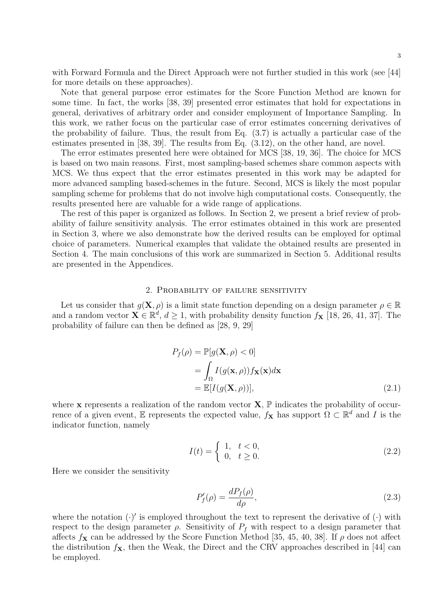with Forward Formula and the Direct Approach were not further studied in this work (see [44]) for more details on these approaches).

Note that general purpose error estimates for the Score Function Method are known for some time. In fact, the works [38, 39] presented error estimates that hold for expectations in general, derivatives of arbitrary order and consider employment of Importance Sampling. In this work, we rather focus on the particular case of error estimates concerning derivatives of the probability of failure. Thus, the result from Eq. (3.7) is actually a particular case of the estimates presented in [38, 39]. The results from Eq. (3.12), on the other hand, are novel.

The error estimates presented here were obtained for MCS [38, 19, 36]. The choice for MCS is based on two main reasons. First, most sampling-based schemes share common aspects with MCS. We thus expect that the error estimates presented in this work may be adapted for more advanced sampling based-schemes in the future. Second, MCS is likely the most popular sampling scheme for problems that do not involve high computational costs. Consequently, the results presented here are valuable for a wide range of applications.

The rest of this paper is organized as follows. In Section 2, we present a brief review of probability of failure sensitivity analysis. The error estimates obtained in this work are presented in Section 3, where we also demonstrate how the derived results can be employed for optimal choice of parameters. Numerical examples that validate the obtained results are presented in Section 4. The main conclusions of this work are summarized in Section 5. Additional results are presented in the Appendices.

#### 2. Probability of failure sensitivity

Let us consider that  $g(\mathbf{X}, \rho)$  is a limit state function depending on a design parameter  $\rho \in \mathbb{R}$ and a random vector  $\mathbf{X} \in \mathbb{R}^d$ ,  $d \geq 1$ , with probability density function  $f_{\mathbf{X}}$  [18, 26, 41, 37]. The probability of failure can then be defined as [28, 9, 29]

$$
P_f(\rho) = \mathbb{P}[g(\mathbf{X}, \rho) < 0]
$$
\n
$$
= \int_{\Omega} I(g(\mathbf{x}, \rho)) f_{\mathbf{X}}(\mathbf{x}) d\mathbf{x}
$$
\n
$$
= \mathbb{E}[I(g(\mathbf{X}, \rho))], \tag{2.1}
$$

where  $x$  represents a realization of the random vector  $X$ ,  $\mathbb P$  indicates the probability of occurrence of a given event, E represents the expected value,  $f_{\mathbf{X}}$  has support  $\Omega \subset \mathbb{R}^d$  and I is the indicator function, namely

$$
I(t) = \begin{cases} 1, & t < 0, \\ 0, & t \ge 0. \end{cases} \tag{2.2}
$$

Here we consider the sensitivity

$$
P_f'(\rho) = \frac{dP_f(\rho)}{d\rho},\tag{2.3}
$$

where the notation  $(\cdot)'$  is employed throughout the text to represent the derivative of  $(\cdot)$  with respect to the design parameter  $\rho$ . Sensitivity of  $P_f$  with respect to a design parameter that affects  $f_{\mathbf{X}}$  can be addressed by the Score Function Method [35, 45, 40, 38]. If  $\rho$  does not affect the distribution  $f_{\mathbf{X}}$ , then the Weak, the Direct and the CRV approaches described in [44] can be employed.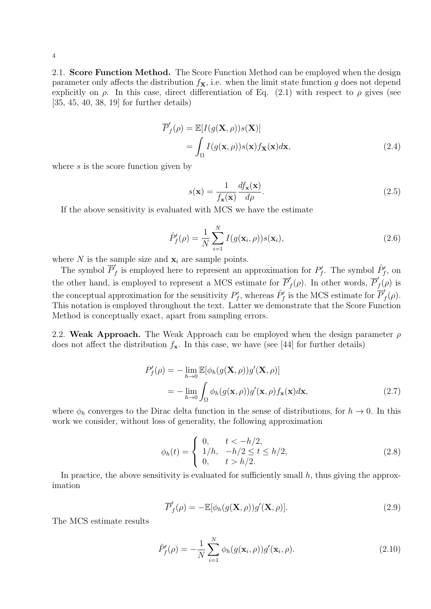2.1. **Score Function Method.** The Score Function Method can be employed when the design parameter only affects the distribution  $f_{\mathbf{X}}$ , i.e. when the limit state function g does not depend explicitly on  $\rho$ . In this case, direct differentiation of Eq. (2.1) with respect to  $\rho$  gives (see [35, 45, 40, 38, 19] for further details)

$$
\overline{P}'_f(\rho) = \mathbb{E}[I(g(\mathbf{X}, \rho))s(\mathbf{X})]
$$
  
= 
$$
\int_{\Omega} I(g(\mathbf{x}, \rho))s(\mathbf{x})f_{\mathbf{X}}(\mathbf{x})d\mathbf{x},
$$
 (2.4)

where  $s$  is the score function given by

$$
s(\mathbf{x}) = \frac{1}{f_{\mathbf{x}}(\mathbf{x})} \frac{df_{\mathbf{x}}(\mathbf{x})}{d\rho}.
$$
 (2.5)

If the above sensitivity is evaluated with MCS we have the estimate

$$
\hat{P}'_f(\rho) = \frac{1}{N} \sum_{i=1}^N I(g(\mathbf{x}_i, \rho)) s(\mathbf{x}_i),
$$
\n(2.6)

where N is the sample size and  $\mathbf{x}_i$  are sample points.

The symbol  $\overline{P}'_1$ f is employed here to represent an approximation for  $P'_f$ . The symbol  $\hat{P}'_f$ , on the other hand, is employed to represent a MCS estimate for  $\overline{P}'$  $f'(p)$ . In other words,  $\overline{P}'_p$  $\int_{f}^{'}(\rho)$  is the conceptual approximation for the sensitivity  $P'_f$ , whereas  $\hat{P}'_f$  is the MCS estimate for  $\overline{P}'_f$  $\int_{f}^{'}(\rho).$ This notation is employed throughout the text. Latter we demonstrate that the Score Function Method is conceptually exact, apart from sampling errors.

2.2. Weak Approach. The Weak Approach can be employed when the design parameter  $\rho$ does not affect the distribution  $f_{\mathbf{x}}$ . In this case, we have (see [44] for further details)

$$
P'_{f}(\rho) = -\lim_{h \to 0} \mathbb{E}[\phi_{h}(g(\mathbf{X}, \rho))g'(\mathbf{X}, \rho)]
$$
  
= 
$$
-\lim_{h \to 0} \int_{\Omega} \phi_{h}(g(\mathbf{x}, \rho))g'(\mathbf{x}, \rho)f_{\mathbf{x}}(\mathbf{x})d\mathbf{x},
$$
(2.7)

where  $\phi_h$  converges to the Dirac delta function in the sense of distributions, for  $h \to 0$ . In this work we consider, without loss of generality, the following approximation

$$
\phi_h(t) = \begin{cases} 0, & t < -h/2, \\ 1/h, & -h/2 \le t \le h/2, \\ 0, & t > h/2. \end{cases} \tag{2.8}
$$

In practice, the above sensitivity is evaluated for sufficiently small  $h$ , thus giving the approximation

$$
\overline{P}'_f(\rho) = -\mathbb{E}[\phi_h(g(\mathbf{X}, \rho))g'(\mathbf{X}, \rho)].
$$
\n(2.9)

The MCS estimate results

$$
\hat{P}'_f(\rho) = -\frac{1}{N} \sum_{i=1}^N \phi_h(g(\mathbf{x}_i, \rho)) g'(\mathbf{x}_i, \rho).
$$
\n(2.10)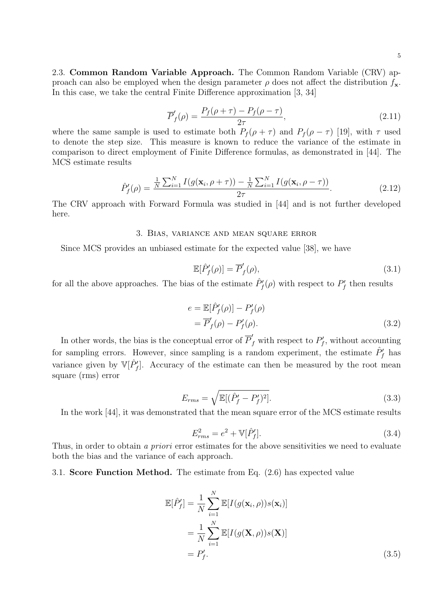2.3. Common Random Variable Approach. The Common Random Variable (CRV) approach can also be employed when the design parameter  $\rho$  does not affect the distribution  $f_{\mathbf{x}}$ . In this case, we take the central Finite Difference approximation [3, 34]

$$
\overline{P}'_f(\rho) = \frac{P_f(\rho + \tau) - P_f(\rho - \tau)}{2\tau},\tag{2.11}
$$

where the same sample is used to estimate both  $P_f(\rho + \tau)$  and  $P_f(\rho - \tau)$  [19], with  $\tau$  used to denote the step size. This measure is known to reduce the variance of the estimate in comparison to direct employment of Finite Difference formulas, as demonstrated in [44]. The MCS estimate results

$$
\hat{P}'_f(\rho) = \frac{\frac{1}{N} \sum_{i=1}^N I(g(\mathbf{x}_i, \rho + \tau)) - \frac{1}{N} \sum_{i=1}^N I(g(\mathbf{x}_i, \rho - \tau))}{2\tau}.
$$
\n(2.12)

The CRV approach with Forward Formula was studied in [44] and is not further developed here.

## 3. Bias, variance and mean square error

Since MCS provides an unbiased estimate for the expected value [38], we have

$$
\mathbb{E}[\hat{P}'_f(\rho)] = \overline{P}'_f(\rho),\tag{3.1}
$$

for all the above approaches. The bias of the estimate  $\hat{P}'_f(\rho)$  with respect to  $P'_f$  then results

$$
e = \mathbb{E}[\hat{P}'_f(\rho)] - P'_f(\rho)
$$
  
=  $\overline{P}'_f(\rho) - P'_f(\rho).$  (3.2)

In other words, the bias is the conceptual error of  $\overline{P}'_f$  with respect to  $P'_f$ , without accounting for sampling errors. However, since sampling is a random experiment, the estimate  $\hat{P}'_f$  has variance given by  $\mathbb{V}[\hat{P}'_f]$ . Accuracy of the estimate can then be measured by the root mean square (rms) error

$$
E_{rms} = \sqrt{\mathbb{E}[(\hat{P}'_f - P'_f)^2]}.
$$
\n(3.3)

In the work [44], it was demonstrated that the mean square error of the MCS estimate results

$$
E_{rms}^2 = e^2 + \mathbb{V}[\hat{P}_f'].
$$
\n(3.4)

Thus, in order to obtain a *priori* error estimates for the above sensitivities we need to evaluate both the bias and the variance of each approach.

# 3.1. Score Function Method. The estimate from Eq. (2.6) has expected value

$$
\mathbb{E}[\hat{P}'_f] = \frac{1}{N} \sum_{i=1}^N \mathbb{E}[I(g(\mathbf{x}_i, \rho))s(\mathbf{x}_i)]
$$
  
= 
$$
\frac{1}{N} \sum_{i=1}^N \mathbb{E}[I(g(\mathbf{X}, \rho))s(\mathbf{X})]
$$
  
= 
$$
P'_f.
$$
 (3.5)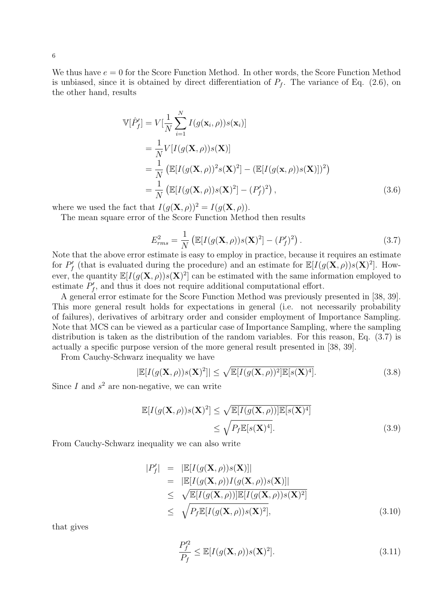We thus have  $e = 0$  for the Score Function Method. In other words, the Score Function Method is unbiased, since it is obtained by direct differentiation of  $P_f$ . The variance of Eq. (2.6), on the other hand, results

$$
\mathbb{V}[\hat{P}'_f] = V\left[\frac{1}{N}\sum_{i=1}^N I(g(\mathbf{x}_i, \rho))s(\mathbf{x}_i)\right]
$$
  
\n
$$
= \frac{1}{N}V[I(g(\mathbf{X}, \rho))s(\mathbf{X})]
$$
  
\n
$$
= \frac{1}{N}\left(\mathbb{E}[I(g(\mathbf{X}, \rho))^2s(\mathbf{X})^2] - (\mathbb{E}[I(g(\mathbf{x}, \rho))s(\mathbf{X})])^2\right)
$$
  
\n
$$
= \frac{1}{N}\left(\mathbb{E}[I(g(\mathbf{X}, \rho))s(\mathbf{X})^2] - (P'_f)^2\right), \tag{3.6}
$$

where we used the fact that  $I(g(\mathbf{X}, \rho))^2 = I(g(\mathbf{X}, \rho)).$ 

The mean square error of the Score Function Method then results

$$
E_{rms}^2 = \frac{1}{N} \left( \mathbb{E}[I(g(\mathbf{X}, \rho))s(\mathbf{X})^2] - (P'_f)^2 \right).
$$
 (3.7)

Note that the above error estimate is easy to employ in practice, because it requires an estimate for  $P'_f$  (that is evaluated during the procedure) and an estimate for  $\mathbb{E}[I(g(\mathbf{X}, \rho))s(\mathbf{X})^2]$ . However, the quantity  $\mathbb{E}[I(g(\mathbf{X}, \rho))s(\mathbf{X})^2]$  can be estimated with the same information employed to estimate  $P'_f$ , and thus it does not require additional computational effort.

A general error estimate for the Score Function Method was previously presented in [38, 39]. This more general result holds for expectations in general (i.e. not necessarily probability of failures), derivatives of arbitrary order and consider employment of Importance Sampling. Note that MCS can be viewed as a particular case of Importance Sampling, where the sampling distribution is taken as the distribution of the random variables. For this reason, Eq. (3.7) is actually a specific purpose version of the more general result presented in [38, 39].

From Cauchy-Schwarz inequality we have

$$
|\mathbb{E}[I(g(\mathbf{X},\rho))s(\mathbf{X})^2]| \le \sqrt{\mathbb{E}[I(g(\mathbf{X},\rho))^2]\mathbb{E}[s(\mathbf{X})^4]}.
$$
\n(3.8)

Since  $I$  and  $s^2$  are non-negative, we can write

$$
\mathbb{E}[I(g(\mathbf{X}, \rho))s(\mathbf{X})^2] \le \sqrt{\mathbb{E}[I(g(\mathbf{X}, \rho))]\mathbb{E}[s(\mathbf{X})^4]}\le \sqrt{P_f \mathbb{E}[s(\mathbf{X})^4]}.
$$
\n(3.9)

From Cauchy-Schwarz inequality we can also write

$$
|P'_{f}| = |\mathbb{E}[I(g(\mathbf{X}, \rho))s(\mathbf{X})]|
$$
  
\n
$$
= |\mathbb{E}[I(g(\mathbf{X}, \rho))I(g(\mathbf{X}, \rho))s(\mathbf{X})]|
$$
  
\n
$$
\leq \sqrt{\mathbb{E}[I(g(\mathbf{X}, \rho))]\mathbb{E}[I(g(\mathbf{X}, \rho))s(\mathbf{X})^{2}]}
$$
  
\n
$$
\leq \sqrt{P_{f}\mathbb{E}[I(g(\mathbf{X}, \rho))s(\mathbf{X})^{2}]},
$$
\n(3.10)

that gives

$$
\frac{P_f^{\prime 2}}{P_f} \le \mathbb{E}[I(g(\mathbf{X}, \rho))s(\mathbf{X})^2].\tag{3.11}
$$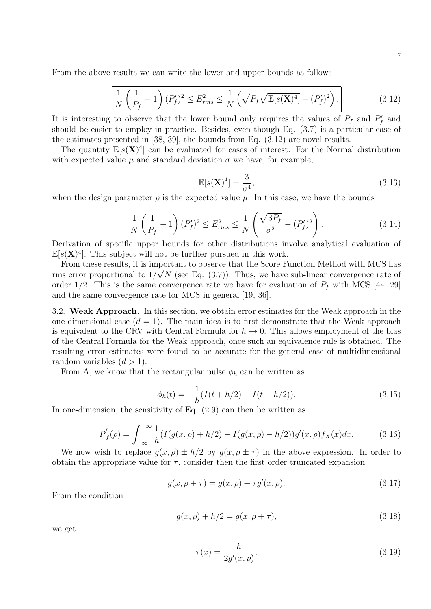From the above results we can write the lower and upper bounds as follows

$$
\frac{1}{N} \left( \frac{1}{P_f} - 1 \right) (P'_f)^2 \le E_{rms}^2 \le \frac{1}{N} \left( \sqrt{P_f} \sqrt{\mathbb{E}[s(\mathbf{X})^4]} - (P'_f)^2 \right). \tag{3.12}
$$

It is interesting to observe that the lower bound only requires the values of  $P_f$  and  $P'_f$  and should be easier to employ in practice. Besides, even though Eq. (3.7) is a particular case of the estimates presented in [38, 39], the bounds from Eq. (3.12) are novel results.

The quantity  $\mathbb{E}[s(\mathbf{X})^4]$  can be evaluated for cases of interest. For the Normal distribution with expected value  $\mu$  and standard deviation  $\sigma$  we have, for example,

$$
\mathbb{E}[s(\mathbf{X})^4] = \frac{3}{\sigma^4},\tag{3.13}
$$

when the design parameter  $\rho$  is the expected value  $\mu$ . In this case, we have the bounds

$$
\frac{1}{N} \left( \frac{1}{P_f} - 1 \right) (P'_f)^2 \le E_{rms}^2 \le \frac{1}{N} \left( \frac{\sqrt{3P_f}}{\sigma^2} - (P'_f)^2 \right). \tag{3.14}
$$

Derivation of specific upper bounds for other distributions involve analytical evaluation of  $\mathbb{E}[s(\mathbf{X})^4]$ . This subject will not be further pursued in this work.

From these results, it is important to observe that the Score Function Method with MCS has rms error proportional to  $1/\sqrt{N}$  (see Eq. (3.7)). Thus, we have sub-linear convergence rate of order  $1/2$ . This is the same convergence rate we have for evaluation of  $P_f$  with MCS [44, 29] and the same convergence rate for MCS in general [19, 36].

3.2. Weak Approach. In this section, we obtain error estimates for the Weak approach in the one-dimensional case  $(d = 1)$ . The main idea is to first demonstrate that the Weak approach is equivalent to the CRV with Central Formula for  $h \to 0$ . This allows employment of the bias of the Central Formula for the Weak approach, once such an equivalence rule is obtained. The resulting error estimates were found to be accurate for the general case of multidimensional random variables  $(d > 1)$ .

From A, we know that the rectangular pulse  $\phi_h$  can be written as

$$
\phi_h(t) = -\frac{1}{h}(I(t+h/2) - I(t-h/2)).
$$
\n(3.15)

In one-dimension, the sensitivity of Eq.  $(2.9)$  can then be written as

$$
\overline{P}'_f(\rho) = \int_{-\infty}^{+\infty} \frac{1}{h} (I(g(x,\rho) + h/2) - I(g(x,\rho) - h/2)) g'(x,\rho) f_X(x) dx.
$$
 (3.16)

We now wish to replace  $g(x, \rho) \pm h/2$  by  $g(x, \rho \pm \tau)$  in the above expression. In order to obtain the appropriate value for  $\tau$ , consider then the first order truncated expansion

$$
g(x, \rho + \tau) = g(x, \rho) + \tau g'(x, \rho).
$$
\n(3.17)

From the condition

$$
g(x, \rho) + h/2 = g(x, \rho + \tau),
$$
\n(3.18)

we get

$$
\tau(x) = \frac{h}{2g'(x,\rho)}.\tag{3.19}
$$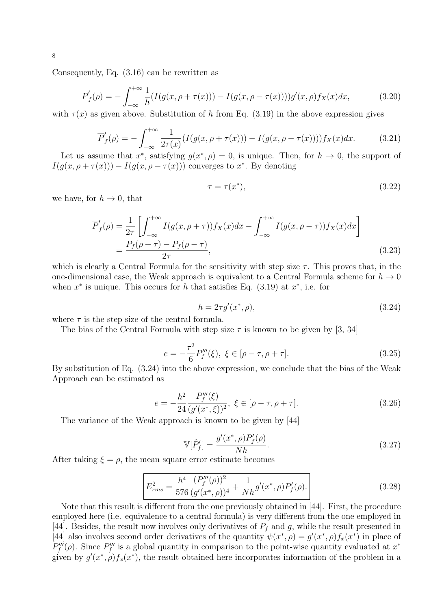Consequently, Eq. (3.16) can be rewritten as

$$
\overline{P}'_f(\rho) = -\int_{-\infty}^{+\infty} \frac{1}{h} (I(g(x,\rho + \tau(x))) - I(g(x,\rho - \tau(x))))g'(x,\rho) f_X(x) dx, \tag{3.20}
$$

with  $\tau(x)$  as given above. Substitution of h from Eq. (3.19) in the above expression gives

$$
\overline{P}'_f(\rho) = -\int_{-\infty}^{+\infty} \frac{1}{2\tau(x)} \left( I(g(x, \rho + \tau(x))) - I(g(x, \rho - \tau(x))) \right) f_X(x) dx. \tag{3.21}
$$

Let us assume that  $x^*$ , satisfying  $g(x^*, \rho) = 0$ , is unique. Then, for  $h \to 0$ , the support of  $I(g(x, \rho + \tau(x))) - I(g(x, \rho - \tau(x)))$  converges to x<sup>\*</sup>. By denoting

$$
\tau = \tau(x^*),\tag{3.22}
$$

we have, for  $h \to 0$ , that

$$
\overline{P}'_f(\rho) = \frac{1}{2\tau} \left[ \int_{-\infty}^{+\infty} I(g(x,\rho+\tau)) f_X(x) dx - \int_{-\infty}^{+\infty} I(g(x,\rho-\tau)) f_X(x) dx \right]
$$
\n
$$
= \frac{P_f(\rho+\tau) - P_f(\rho-\tau)}{2\tau},
$$
\n(3.23)

which is clearly a Central Formula for the sensitivity with step size  $\tau$ . This proves that, in the one-dimensional case, the Weak approach is equivalent to a Central Formula scheme for  $h \to 0$ when  $x^*$  is unique. This occurs for h that satisfies Eq. (3.19) at  $x^*$ , i.e. for

$$
h = 2\tau g'(x^*, \rho),
$$
\n(3.24)

where  $\tau$  is the step size of the central formula.

The bias of the Central Formula with step size  $\tau$  is known to be given by [3, 34]

$$
e = -\frac{\tau^2}{6} P_f'''(\xi), \ \xi \in [\rho - \tau, \rho + \tau]. \tag{3.25}
$$

By substitution of Eq. (3.24) into the above expression, we conclude that the bias of the Weak Approach can be estimated as

$$
e = -\frac{h^2}{24} \frac{P_f'''(\xi)}{(g'(x^*, \xi))^2}, \ \xi \in [\rho - \tau, \rho + \tau]. \tag{3.26}
$$

The variance of the Weak approach is known to be given by [44]

$$
\mathbb{V}[\hat{P}'_f] = \frac{g'(x^*, \rho)P'_f(\rho)}{Nh}.\tag{3.27}
$$

After taking  $\xi = \rho$ , the mean square error estimate becomes

$$
E_{rms}^2 = \frac{h^4}{576} \frac{(P_f'''(\rho))^2}{(g'(x^*, \rho))^4} + \frac{1}{Nh} g'(x^*, \rho) P_f'(\rho).
$$
 (3.28)

Note that this result is different from the one previously obtained in [44]. First, the procedure employed here (i.e. equivalence to a central formula) is very different from the one employed in [44]. Besides, the result now involves only derivatives of  $P_f$  and q, while the result presented in [44] also involves second order derivatives of the quantity  $\psi(x^*, \rho) = g'(x^*, \rho) f_x(x^*)$  in place of  $P_{f}'''(\rho)$ . Since  $P_{f}'''$  is a global quantity in comparison to the point-wise quantity evaluated at  $x^*$ given by  $g'(x^*, \rho) f_x(x^*)$ , the result obtained here incorporates information of the problem in a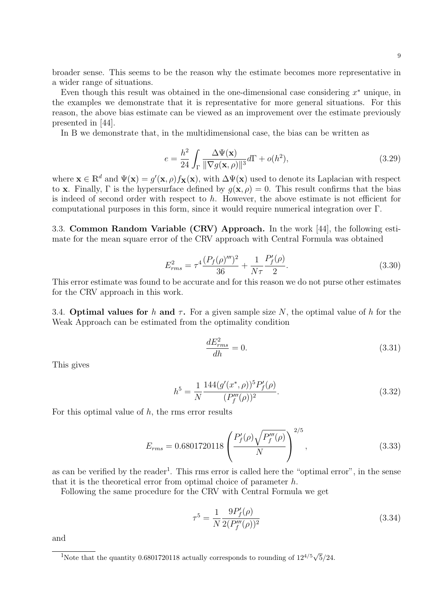broader sense. This seems to be the reason why the estimate becomes more representative in a wider range of situations.

Even though this result was obtained in the one-dimensional case considering  $x^*$  unique, in the examples we demonstrate that it is representative for more general situations. For this reason, the above bias estimate can be viewed as an improvement over the estimate previously presented in [44].

In B we demonstrate that, in the multidimensional case, the bias can be written as

$$
e = \frac{h^2}{24} \int_{\Gamma} \frac{\Delta \Psi(\mathbf{x})}{\|\nabla g(\mathbf{x}, \rho)\|^3} d\Gamma + o(h^2),\tag{3.29}
$$

where  $\mathbf{x} \in \mathbb{R}^d$  and  $\Psi(\mathbf{x}) = g'(\mathbf{x}, \rho) f_{\mathbf{X}}(\mathbf{x})$ , with  $\Delta \Psi(\mathbf{x})$  used to denote its Laplacian with respect to x. Finally, Γ is the hypersurface defined by  $q(x, \rho) = 0$ . This result confirms that the bias is indeed of second order with respect to  $h$ . However, the above estimate is not efficient for computational purposes in this form, since it would require numerical integration over Γ.

3.3. Common Random Variable (CRV) Approach. In the work [44], the following estimate for the mean square error of the CRV approach with Central Formula was obtained

$$
E_{rms}^2 = \tau^4 \frac{(P_f(\rho)''')^2}{36} + \frac{1}{N\tau} \frac{P_f'(\rho)}{2}.
$$
\n(3.30)

This error estimate was found to be accurate and for this reason we do not purse other estimates for the CRV approach in this work.

3.4. **Optimal values for** h and  $\tau$ . For a given sample size N, the optimal value of h for the Weak Approach can be estimated from the optimality condition

$$
\frac{dE_{rms}^2}{dh} = 0.\tag{3.31}
$$

This gives

$$
h^5 = \frac{1}{N} \frac{144(g'(x^*, \rho))^5 P_f'(\rho)}{(P_f'''(\rho))^2}.
$$
\n(3.32)

For this optimal value of  $h$ , the rms error results

$$
E_{rms} = 0.6801720118 \left( \frac{P_f'(\rho) \sqrt{P_f'''(\rho)}}{N} \right)^{2/5}, \qquad (3.33)
$$

as can be verified by the reader<sup>1</sup>. This rms error is called here the "optimal error", in the sense that it is the theoretical error from optimal choice of parameter h.

Following the same procedure for the CRV with Central Formula we get

$$
\tau^5 = \frac{1}{N} \frac{9P_f'(\rho)}{2(P_f'''(\rho))^2} \tag{3.34}
$$

and

<sup>&</sup>lt;sup>1</sup>Note that the quantity 0.6801720118 actually corresponds to rounding of  $12^{4/5} \sqrt{\ }$  $5/24.$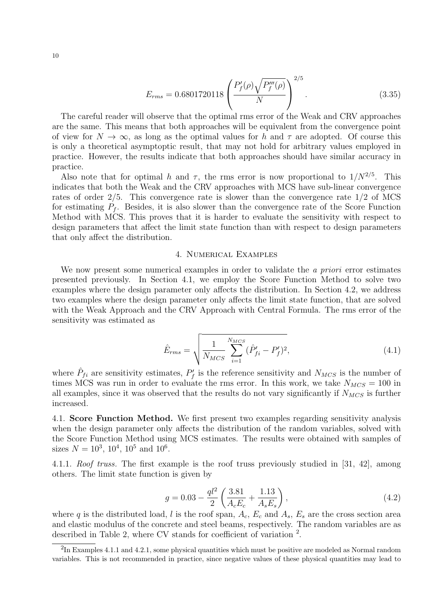$$
E_{rms} = 0.6801720118 \left( \frac{P_f'(\rho) \sqrt{P_f'''(\rho)}}{N} \right)^{2/5}.
$$
 (3.35)

The careful reader will observe that the optimal rms error of the Weak and CRV approaches are the same. This means that both approaches will be equivalent from the convergence point of view for  $N \to \infty$ , as long as the optimal values for h and  $\tau$  are adopted. Of course this is only a theoretical asymptoptic result, that may not hold for arbitrary values employed in practice. However, the results indicate that both approaches should have similar accuracy in practice.

Also note that for optimal h and  $\tau$ , the rms error is now proportional to  $1/N^{2/5}$ . This indicates that both the Weak and the CRV approaches with MCS have sub-linear convergence rates of order  $2/5$ . This convergence rate is slower than the convergence rate  $1/2$  of MCS for estimating  $P_f$ . Besides, it is also slower than the convergence rate of the Score Function Method with MCS. This proves that it is harder to evaluate the sensitivity with respect to design parameters that affect the limit state function than with respect to design parameters that only affect the distribution.

#### 4. Numerical Examples

We now present some numerical examples in order to validate the *a priori* error estimates presented previously. In Section 4.1, we employ the Score Function Method to solve two examples where the design parameter only affects the distribution. In Section 4.2, we address two examples where the design parameter only affects the limit state function, that are solved with the Weak Approach and the CRV Approach with Central Formula. The rms error of the sensitivity was estimated as

$$
\hat{E}_{rms} = \sqrt{\frac{1}{N_{MCS}} \sum_{i=1}^{N_{MCS}} (\hat{P}'_{fi} - P'_f)^2},
$$
\n(4.1)

where  $\hat{P}_{fi}$  are sensitivity estimates,  $P'_{f}$  is the reference sensitivity and  $N_{MCS}$  is the number of times MCS was run in order to evaluate the rms error. In this work, we take  $N_{MCS} = 100$  in all examples, since it was observed that the results do not vary significantly if  $N_{MCS}$  is further increased.

4.1. Score Function Method. We first present two examples regarding sensitivity analysis when the design parameter only affects the distribution of the random variables, solved with the Score Function Method using MCS estimates. The results were obtained with samples of sizes  $N = 10^3$ ,  $10^4$ ,  $10^5$  and  $10^6$ .

4.1.1. Roof truss. The first example is the roof truss previously studied in [31, 42], among others. The limit state function is given by

$$
g = 0.03 - \frac{ql^2}{2} \left( \frac{3.81}{A_c E_c} + \frac{1.13}{A_s E_s} \right),\tag{4.2}
$$

where q is the distributed load, l is the roof span,  $A_c$ ,  $E_c$  and  $A_s$ ,  $E_s$  are the cross section area and elastic modulus of the concrete and steel beams, respectively. The random variables are as described in Table 2, where CV stands for coefficient of variation  $^2$ .

 ${}^{2}\text{In Examples 4.1.1 and 4.2.1, some physical quantities which must be positive are modeled as Normal random.}$ variables. This is not recommended in practice, since negative values of these physical quantities may lead to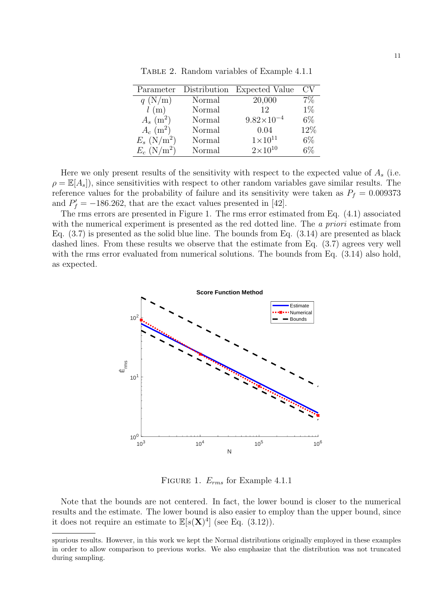| Parameter                 | Distribution | Expected Value        | CV    |
|---------------------------|--------------|-----------------------|-------|
| q(N/m)                    | Normal       | 20,000                | 7%    |
| l(m)                      | Normal       | 12                    | $1\%$ |
| $A_s$ (m <sup>2</sup> )   | Normal       | $9.82 \times 10^{-4}$ | $6\%$ |
| $A_c$ (m <sup>2</sup> )   | Normal       | 0.04                  | 12%   |
| $E_s$ (N/m <sup>2</sup> ) | Normal       | $1 \times 10^{11}$    | $6\%$ |
| $E_c$ (N/m <sup>2</sup> ) | Normal       | $2 \times 10^{10}$    | $6\%$ |

Table 2. Random variables of Example 4.1.1

Here we only present results of the sensitivity with respect to the expected value of  $A<sub>s</sub>$  (i.e.  $\rho = \mathbb{E}[A_s]$ , since sensitivities with respect to other random variables gave similar results. The reference values for the probability of failure and its sensitivity were taken as  $P_f = 0.009373$ and  $P'_f = -186.262$ , that are the exact values presented in [42].

The rms errors are presented in Figure 1. The rms error estimated from Eq. (4.1) associated with the numerical experiment is presented as the red dotted line. The *a priori* estimate from Eq. (3.7) is presented as the solid blue line. The bounds from Eq. (3.14) are presented as black dashed lines. From these results we observe that the estimate from Eq. (3.7) agrees very well with the rms error evaluated from numerical solutions. The bounds from Eq.  $(3.14)$  also hold, as expected.



FIGURE 1.  $E_{rms}$  for Example 4.1.1

Note that the bounds are not centered. In fact, the lower bound is closer to the numerical results and the estimate. The lower bound is also easier to employ than the upper bound, since it does not require an estimate to  $\mathbb{E}[s(\mathbf{X})^4]$  (see Eq. (3.12)).

spurious results. However, in this work we kept the Normal distributions originally employed in these examples in order to allow comparison to previous works. We also emphasize that the distribution was not truncated during sampling.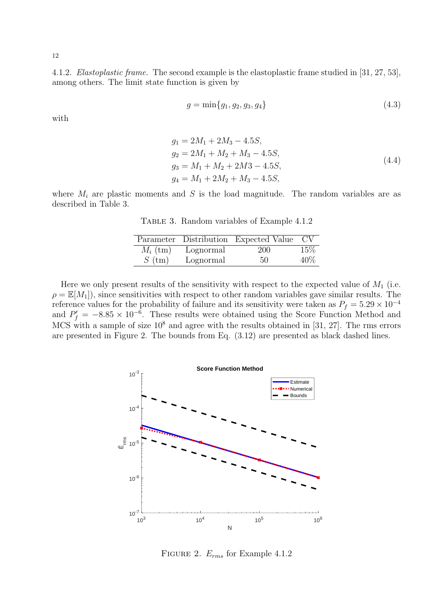4.1.2. Elastoplastic frame. The second example is the elastoplastic frame studied in [31, 27, 53],

among others. The limit state function is given by

$$
g = \min\{g_1, g_2, g_3, g_4\} \tag{4.3}
$$

with

$$
g_1 = 2M_1 + 2M_3 - 4.5S,
$$
  
\n
$$
g_2 = 2M_1 + M_2 + M_3 - 4.5S,
$$
  
\n
$$
g_3 = M_1 + M_2 + 2M_3 - 4.5S,
$$
  
\n
$$
g_4 = M_1 + 2M_2 + M_3 - 4.5S,
$$
\n(4.4)

where  $M_i$  are plastic moments and S is the load magnitude. The random variables are as described in Table 3.

Table 3. Random variables of Example 4.1.2

|            |           | Parameter Distribution Expected Value | CV   |
|------------|-----------|---------------------------------------|------|
| $M_i$ (tm) | Lognormal | <b>200</b>                            | 15\% |
| $S$ (tm)   | Lognormal | 50                                    | 40\% |

Here we only present results of the sensitivity with respect to the expected value of  $M_1$  (i.e.  $\rho = \mathbb{E}[M_1]$ , since sensitivities with respect to other random variables gave similar results. The reference values for the probability of failure and its sensitivity were taken as  $P_f = 5.29 \times 10^{-4}$ and  $P'_f = -8.85 \times 10^{-6}$ . These results were obtained using the Score Function Method and MCS with a sample of size  $10^8$  and agree with the results obtained in [31, 27]. The rms errors are presented in Figure 2. The bounds from Eq. (3.12) are presented as black dashed lines.



FIGURE 2.  $E_{rms}$  for Example 4.1.2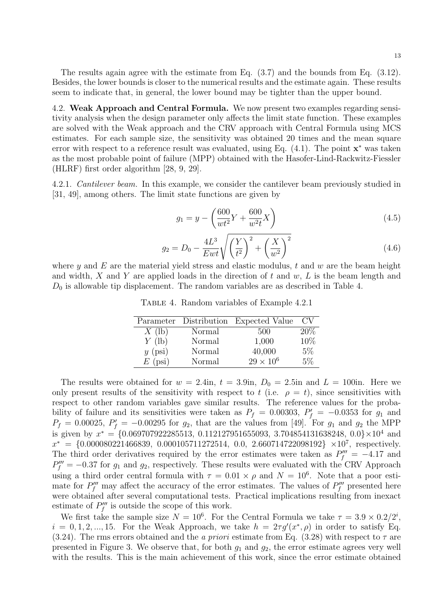4.2. Weak Approach and Central Formula. We now present two examples regarding sensitivity analysis when the design parameter only affects the limit state function. These examples are solved with the Weak approach and the CRV approach with Central Formula using MCS estimates. For each sample size, the sensitivity was obtained 20 times and the mean square error with respect to a reference result was evaluated, using Eq.  $(4.1)$ . The point  $\mathbf{x}^*$  was taken as the most probable point of failure (MPP) obtained with the Hasofer-Lind-Rackwitz-Fiessler (HLRF) first order algorithm [28, 9, 29].

4.2.1. *Cantilever beam.* In this example, we consider the cantilever beam previously studied in [31, 49], among others. The limit state functions are given by

$$
g_1 = y - \left(\frac{600}{wt^2}Y + \frac{600}{w^2t}X\right)
$$
\n(4.5)

$$
g_2 = D_0 - \frac{4L^3}{Ewt} \sqrt{\left(\frac{Y}{t^2}\right)^2 + \left(\frac{X}{w^2}\right)^2} \tag{4.6}
$$

where y and E are the material yield stress and elastic modulus, t and w are the beam height and width, X and Y are applied loads in the direction of t and  $w$ , L is the beam length and  $D_0$  is allowable tip displacement. The random variables are as described in Table 4.

Table 4. Random variables of Example 4.2.1

|           |        | Parameter Distribution Expected Value | CV.   |
|-----------|--------|---------------------------------------|-------|
| $X$ (lb)  | Normal | 500                                   | 20%   |
| $Y$ (lb)  | Normal | 1,000                                 | 10%   |
| $y$ (psi) | Normal | 40,000                                | 5%    |
| $E$ (psi) | Normal | $29 \times 10^6$                      | $5\%$ |

The results were obtained for  $w = 2.4$ in,  $t = 3.9$ in,  $D_0 = 2.5$ in and  $L = 100$ in. Here we only present results of the sensitivity with respect to t (i.e.  $\rho = t$ ), since sensitivities with respect to other random variables gave similar results. The reference values for the probability of failure and its sensitivities were taken as  $P_f = 0.00303, P'_f = -0.0353$  for  $g_1$  and  $P_f = 0.00025, P'_f = -0.00295$  for  $g_2$ , that are the values from [49]. For  $g_1$  and  $g_2$  the MPP is given by  $x^* = \{0.069707922285513, 0.112127951655093, 3.704854131638248, 0.0\} \times 10^4$  and  $x^* = \{0.000080221466839, 0.000105711272514, 0.0, 2.660714722098192\} \times 10^7$ , respectively. The third order derivatives required by the error estimates were taken as  $P_{f}^{\prime\prime\prime} = -4.17$  and  $P_{f}^{\prime\prime\prime} = -0.37$  for  $g_1$  and  $g_2$ , respectively. These results were evaluated with the CRV Approach using a third order central formula with  $\tau = 0.01 \times \rho$  and  $N = 10^6$ . Note that a poor estimate for  $P_{f}^{\prime\prime\prime}$  may affect the accuracy of the error estimates. The values of  $P_{f}^{\prime\prime\prime}$  presented here were obtained after several computational tests. Practical implications resulting from inexact estimate of  $P_f'''$  is outside the scope of this work.

We first take the sample size  $N = 10^6$ . For the Central Formula we take  $\tau = 3.9 \times 0.2/2^i$ ,  $i = 0, 1, 2, ..., 15$ . For the Weak Approach, we take  $h = 2\tau g'(x^*, \rho)$  in order to satisfy Eq. (3.24). The rms errors obtained and the a priori estimate from Eq. (3.28) with respect to  $\tau$  are presented in Figure 3. We observe that, for both  $g_1$  and  $g_2$ , the error estimate agrees very well with the results. This is the main achievement of this work, since the error estimate obtained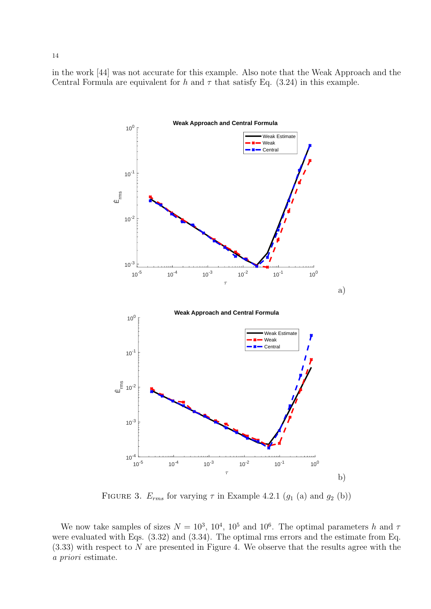in the work [44] was not accurate for this example. Also note that the Weak Approach and the Central Formula are equivalent for h and  $\tau$  that satisfy Eq. (3.24) in this example.



FIGURE 3.  $E_{rms}$  for varying  $\tau$  in Example 4.2.1 ( $g_1$  (a) and  $g_2$  (b))

We now take samples of sizes  $N = 10^3$ ,  $10^4$ ,  $10^5$  and  $10^6$ . The optimal parameters h and  $\tau$ were evaluated with Eqs. (3.32) and (3.34). The optimal rms errors and the estimate from Eq.  $(3.33)$  with respect to N are presented in Figure 4. We observe that the results agree with the a priori estimate.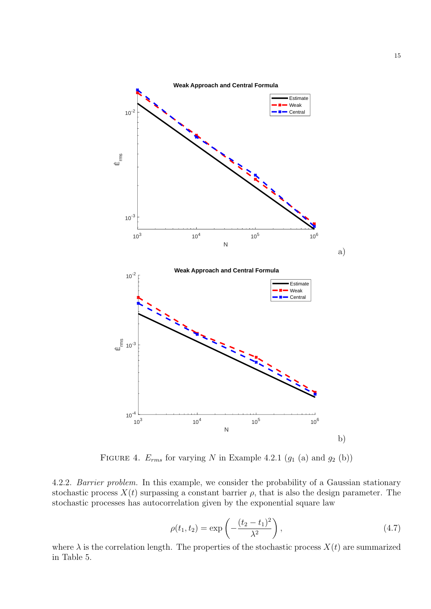

FIGURE 4.  $E_{rms}$  for varying N in Example 4.2.1 ( $g_1$  (a) and  $g_2$  (b))

4.2.2. Barrier problem. In this example, we consider the probability of a Gaussian stationary stochastic process  $X(t)$  surpassing a constant barrier  $\rho$ , that is also the design parameter. The stochastic processes has autocorrelation given by the exponential square law

$$
\rho(t_1, t_2) = \exp\left(-\frac{(t_2 - t_1)^2}{\lambda^2}\right),\tag{4.7}
$$

where  $\lambda$  is the correlation length. The properties of the stochastic process  $X(t)$  are summarized in Table 5.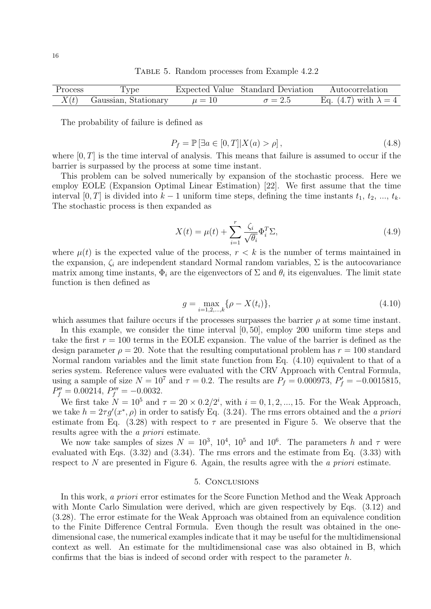| Process | 1 vpe                |            | Expected Value Standard Deviation | Autocorrelation              |
|---------|----------------------|------------|-----------------------------------|------------------------------|
| X(t)    | Gaussian, Stationary | $\mu = 10$ | $\sigma = 2.5$                    | Eq. (4.7) with $\lambda = 4$ |

The probability of failure is defined as

$$
P_f = \mathbb{P}\left[\exists a \in [0, T]|X(a) > \rho\right],\tag{4.8}
$$

where  $[0, T]$  is the time interval of analysis. This means that failure is assumed to occur if the barrier is surpassed by the process at some time instant.

This problem can be solved numerically by expansion of the stochastic process. Here we employ EOLE (Expansion Optimal Linear Estimation) [22]. We first assume that the time interval [0, T] is divided into  $k-1$  uniform time steps, defining the time instants  $t_1, t_2, ..., t_k$ . The stochastic process is then expanded as

$$
X(t) = \mu(t) + \sum_{i=1}^{r} \frac{\zeta_i}{\sqrt{\theta_i}} \Phi_i^T \Sigma,
$$
\n(4.9)

where  $\mu(t)$  is the expected value of the process,  $r < k$  is the number of terms maintained in the expansion,  $\zeta_i$  are independent standard Normal random variables,  $\Sigma$  is the autocovariance matrix among time instants,  $\Phi_i$  are the eigenvectors of  $\Sigma$  and  $\theta_i$  its eigenvalues. The limit state function is then defined as

$$
g = \max_{i=1,2,\dots,k} \{ \rho - X(t_i) \},\tag{4.10}
$$

which assumes that failure occurs if the processes surpasses the barrier  $\rho$  at some time instant.

In this example, we consider the time interval [0, 50], employ 200 uniform time steps and take the first  $r = 100$  terms in the EOLE expansion. The value of the barrier is defined as the design parameter  $\rho = 20$ . Note that the resulting computational problem has  $r = 100$  standard Normal random variables and the limit state function from Eq. (4.10) equivalent to that of a series system. Reference values were evaluated with the CRV Approach with Central Formula, using a sample of size  $N = 10^7$  and  $\tau = 0.2$ . The results are  $P_f = 0.000973$ ,  $P'_f = -0.0015815$ ,  $P''_f = 0.00214, P'''_f = -0.0032.$ 

We first take  $N = 10^5$  and  $\tau = 20 \times 0.2/2^i$ , with  $i = 0, 1, 2, ..., 15$ . For the Weak Approach, we take  $h = 2\tau g'(x^*, \rho)$  in order to satisfy Eq. (3.24). The rms errors obtained and the a priori estimate from Eq. (3.28) with respect to  $\tau$  are presented in Figure 5. We observe that the results agree with the a priori estimate.

We now take samples of sizes  $N = 10^3$ ,  $10^4$ ,  $10^5$  and  $10^6$ . The parameters h and  $\tau$  were evaluated with Eqs. (3.32) and (3.34). The rms errors and the estimate from Eq. (3.33) with respect to N are presented in Figure 6. Again, the results agree with the a priori estimate.

#### 5. Conclusions

In this work, a priori error estimates for the Score Function Method and the Weak Approach with Monte Carlo Simulation were derived, which are given respectively by Eqs. (3.12) and (3.28). The error estimate for the Weak Approach was obtained from an equivalence condition to the Finite Difference Central Formula. Even though the result was obtained in the onedimensional case, the numerical examples indicate that it may be useful for the multidimensional context as well. An estimate for the multidimensional case was also obtained in B, which confirms that the bias is indeed of second order with respect to the parameter h.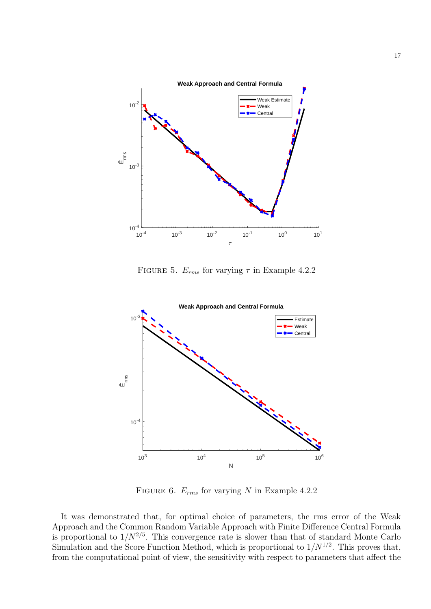

FIGURE 5.  $E_{rms}$  for varying  $\tau$  in Example 4.2.2



FIGURE 6.  $E_{rms}$  for varying N in Example 4.2.2

It was demonstrated that, for optimal choice of parameters, the rms error of the Weak Approach and the Common Random Variable Approach with Finite Difference Central Formula is proportional to  $1/N^{2/5}$ . This convergence rate is slower than that of standard Monte Carlo Simulation and the Score Function Method, which is proportional to  $1/N^{1/2}$ . This proves that, from the computational point of view, the sensitivity with respect to parameters that affect the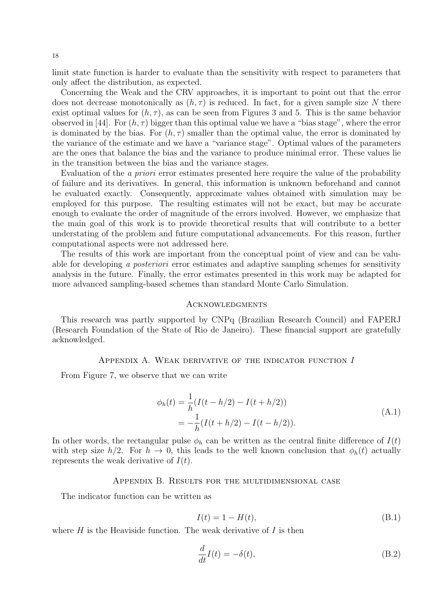limit state function is harder to evaluate than the sensitivity with respect to parameters that only affect the distribution, as expected.

Concerning the Weak and the CRV approaches, it is important to point out that the error does not decrease monotonically as  $(h, \tau)$  is reduced. In fact, for a given sample size N there exist optimal values for  $(h, \tau)$ , as can be seen from Figures 3 and 5. This is the same behavior observed in [44]. For  $(h, \tau)$  bigger than this optimal value we have a "bias stage", where the error is dominated by the bias. For  $(h, \tau)$  smaller than the optimal value, the error is dominated by the variance of the estimate and we have a "variance stage". Optimal values of the parameters are the ones that balance the bias and the variance to produce minimal error. These values lie in the transition between the bias and the variance stages.

Evaluation of the *a priori* error estimates presented here require the value of the probability of failure and its derivatives. In general, this information is unknown beforehand and cannot be evaluated exactly. Consequently, approximate values obtained with simulation may be employed for this purpose. The resulting estimates will not be exact, but may be accurate enough to evaluate the order of magnitude of the errors involved. However, we emphasize that the main goal of this work is to provide theoretical results that will contribute to a better understating of the problem and future computational advancements. For this reason, further computational aspects were not addressed here.

The results of this work are important from the conceptual point of view and can be valuable for developing a posteriori error estimates and adaptive sampling schemes for sensitivity analysis in the future. Finally, the error estimates presented in this work may be adapted for more advanced sampling-based schemes than standard Monte Carlo Simulation.

### **ACKNOWLEDGMENTS**

This research was partly supported by CNPq (Brazilian Research Council) and FAPERJ (Research Foundation of the State of Rio de Janeiro). These financial support are gratefully acknowledged.

# Appendix A. Weak derivative of the indicator function I

From Figure 7, we observe that we can write

$$
\phi_h(t) = \frac{1}{h}(I(t - h/2) - I(t + h/2))
$$
  
=  $-\frac{1}{h}(I(t + h/2) - I(t - h/2)).$  (A.1)

In other words, the rectangular pulse  $\phi_h$  can be written as the central finite difference of  $I(t)$ with step size  $h/2$ . For  $h \to 0$ , this leads to the well known conclusion that  $\phi_h(t)$  actually represents the weak derivative of  $I(t)$ .

#### Appendix B. Results for the multidimensional case

The indicator function can be written as

$$
I(t) = 1 - H(t),
$$
 (B.1)

where  $H$  is the Heaviside function. The weak derivative of  $I$  is then

$$
\frac{d}{dt}I(t) = -\delta(t),\tag{B.2}
$$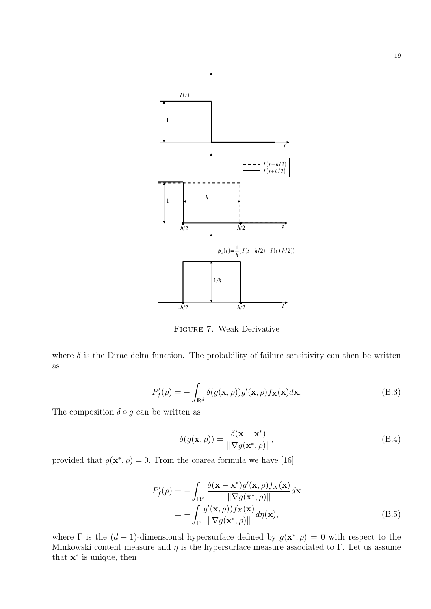

Figure 7. Weak Derivative

where  $\delta$  is the Dirac delta function. The probability of failure sensitivity can then be written as

$$
P'_{f}(\rho) = -\int_{\mathbb{R}^{d}} \delta(g(\mathbf{x}, \rho)) g'(\mathbf{x}, \rho) f_{\mathbf{X}}(\mathbf{x}) d\mathbf{x}.
$$
 (B.3)

The composition  $\delta \circ g$  can be written as

$$
\delta(g(\mathbf{x}, \rho)) = \frac{\delta(\mathbf{x} - \mathbf{x}^*)}{\|\nabla g(\mathbf{x}^*, \rho)\|},
$$
\n(B.4)

provided that  $g(\mathbf{x}^*, \rho) = 0$ . From the coarea formula we have [16]

$$
P'_{f}(\rho) = -\int_{\mathbb{R}^{d}} \frac{\delta(\mathbf{x} - \mathbf{x}^{*})g'(\mathbf{x}, \rho)f_{X}(\mathbf{x})}{\|\nabla g(\mathbf{x}^{*}, \rho)\|} d\mathbf{x}
$$
  
= 
$$
-\int_{\Gamma} \frac{g'(\mathbf{x}, \rho))f_{X}(\mathbf{x})}{\|\nabla g(\mathbf{x}^{*}, \rho)\|} d\eta(\mathbf{x}),
$$
(B.5)

where  $\Gamma$  is the  $(d-1)$ -dimensional hypersurface defined by  $g(\mathbf{x}^*, \rho) = 0$  with respect to the Minkowski content measure and  $\eta$  is the hypersurface measure associated to Γ. Let us assume that  $\mathbf{x}^*$  is unique, then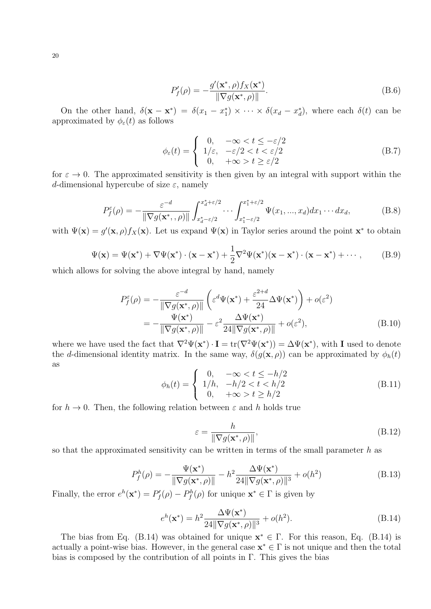20

$$
P'_{f}(\rho) = -\frac{g'(\mathbf{x}^*, \rho) f_X(\mathbf{x}^*)}{\|\nabla g(\mathbf{x}^*, \rho)\|}.
$$
 (B.6)

On the other hand,  $\delta(\mathbf{x} - \mathbf{x}^*) = \delta(x_1 - x_1^*) \times \cdots \times \delta(x_d - x_d^*)$ , where each  $\delta(t)$  can be approximated by  $\phi_{\varepsilon}(t)$  as follows

$$
\phi_{\varepsilon}(t) = \begin{cases}\n0, & -\infty < t \leq -\varepsilon/2 \\
1/\varepsilon, & -\varepsilon/2 < t < \varepsilon/2 \\
0, & +\infty > t \geq \varepsilon/2\n\end{cases}
$$
\n(B.7)

for  $\varepsilon \to 0$ . The approximated sensitivity is then given by an integral with support within the d-dimensional hypercube of size  $\varepsilon$ , namely

$$
P_f^{\varepsilon}(\rho) = -\frac{\varepsilon^{-d}}{\|\nabla g(\mathbf{x}^*, \rho)\|} \int_{x_d^* - \varepsilon/2}^{x_d^* + \varepsilon/2} \cdots \int_{x_1^* - \varepsilon/2}^{x_1^* + \varepsilon/2} \Psi(x_1, \ldots, x_d) dx_1 \cdots dx_d,
$$
 (B.8)

with  $\Psi(\mathbf{x}) = g'(\mathbf{x}, \rho) f_X(\mathbf{x})$ . Let us expand  $\Psi(\mathbf{x})$  in Taylor series around the point  $\mathbf{x}^*$  to obtain

$$
\Psi(\mathbf{x}) = \Psi(\mathbf{x}^*) + \nabla\Psi(\mathbf{x}^*) \cdot (\mathbf{x} - \mathbf{x}^*) + \frac{1}{2} \nabla^2 \Psi(\mathbf{x}^*) (\mathbf{x} - \mathbf{x}^*) \cdot (\mathbf{x} - \mathbf{x}^*) + \cdots,
$$
 (B.9)

which allows for solving the above integral by hand, namely

$$
P_f^{\varepsilon}(\rho) = -\frac{\varepsilon^{-d}}{\|\nabla g(\mathbf{x}^*, \rho)\|} \left( \varepsilon^d \Psi(\mathbf{x}^*) + \frac{\varepsilon^{2+d}}{24} \Delta \Psi(\mathbf{x}^*) \right) + o(\varepsilon^2)
$$
  
= 
$$
-\frac{\Psi(\mathbf{x}^*)}{\|\nabla g(\mathbf{x}^*, \rho)\|} - \varepsilon^2 \frac{\Delta \Psi(\mathbf{x}^*)}{24\|\nabla g(\mathbf{x}^*, \rho)\|} + o(\varepsilon^2),
$$
(B.10)

where we have used the fact that  $\nabla^2 \Psi(\mathbf{x}^*) \cdot \mathbf{I} = \text{tr}(\nabla^2 \Psi(\mathbf{x}^*)) = \Delta \Psi(\mathbf{x}^*)$ , with I used to denote the d-dimensional identity matrix. In the same way,  $\delta(g(\mathbf{x}, \rho))$  can be approximated by  $\phi_h(t)$ as

$$
\phi_h(t) = \begin{cases} 0, & -\infty < t \le -h/2 \\ 1/h, & -h/2 < t < h/2 \\ 0, & +\infty > t \ge h/2 \end{cases}
$$
 (B.11)

for  $h \to 0$ . Then, the following relation between  $\varepsilon$  and h holds true

$$
\varepsilon = \frac{h}{\|\nabla g(\mathbf{x}^*, \rho)\|},\tag{B.12}
$$

so that the approximated sensitivity can be written in terms of the small parameter  $h$  as

$$
P_f^h(\rho) = -\frac{\Psi(\mathbf{x}^*)}{\|\nabla g(\mathbf{x}^*, \rho)\|} - h^2 \frac{\Delta \Psi(\mathbf{x}^*)}{24\|\nabla g(\mathbf{x}^*, \rho)\|^3} + o(h^2)
$$
(B.13)

Finally, the error  $e^h(\mathbf{x}^*) = P_f'(\rho) - P_f^h(\rho)$  for unique  $\mathbf{x}^* \in \Gamma$  is given by

$$
e^{h}(\mathbf{x}^*) = h^2 \frac{\Delta \Psi(\mathbf{x}^*)}{24 \|\nabla g(\mathbf{x}^*, \rho)\|^3} + o(h^2).
$$
 (B.14)

The bias from Eq. (B.14) was obtained for unique  $\mathbf{x}^* \in \Gamma$ . For this reason, Eq. (B.14) is actually a point-wise bias. However, in the general case  $\mathbf{x}^* \in \Gamma$  is not unique and then the total bias is composed by the contribution of all points in Γ. This gives the bias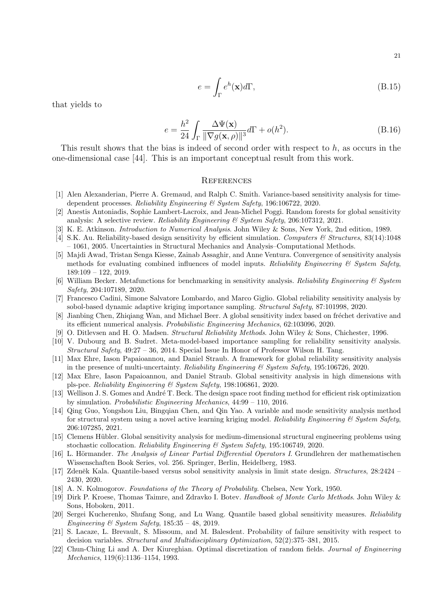$$
21\quad
$$

$$
e = \int_{\Gamma} e^{h}(\mathbf{x}) d\Gamma,
$$
 (B.15)

that yields to

$$
e = \frac{h^2}{24} \int_{\Gamma} \frac{\Delta \Psi(\mathbf{x})}{\|\nabla g(\mathbf{x}, \rho)\|^3} d\Gamma + o(h^2).
$$
 (B.16)

This result shows that the bias is indeed of second order with respect to  $h$ , as occurs in the one-dimensional case [44]. This is an important conceptual result from this work.

### **REFERENCES**

- [1] Alen Alexanderian, Pierre A. Gremaud, and Ralph C. Smith. Variance-based sensitivity analysis for timedependent processes. Reliability Engineering & System Safety, 196:106722, 2020.
- [2] Anestis Antoniadis, Sophie Lambert-Lacroix, and Jean-Michel Poggi. Random forests for global sensitivity analysis: A selective review. Reliability Engineering & System Safety, 206:107312, 2021.
- [3] K. E. Atkinson. Introduction to Numerical Analysis. John Wiley & Sons, New York, 2nd edition, 1989.
- [4] S.K. Au. Reliability-based design sensitivity by efficient simulation. Computers  $\mathcal C$  Structures, 83(14):1048 – 1061, 2005. Uncertainties in Structural Mechanics and Analysis–Computational Methods.
- [5] Majdi Awad, Tristan Senga Kiesse, Zainab Assaghir, and Anne Ventura. Convergence of sensitivity analysis methods for evaluating combined influences of model inputs. Reliability Engineering  $\mathcal C$  System Safety, 189:109 – 122, 2019.
- [6] William Becker. Metafunctions for benchmarking in sensitivity analysis. Reliability Engineering  $\mathcal C$  System Safety, 204:107189, 2020.
- [7] Francesco Cadini, Simone Salvatore Lombardo, and Marco Giglio. Global reliability sensitivity analysis by sobol-based dynamic adaptive kriging importance sampling. Structural Safety, 87:101998, 2020.
- [8] Jianbing Chen, Zhiqiang Wan, and Michael Beer. A global sensitivity index based on fréchet derivative and its efficient numerical analysis. Probabilistic Engineering Mechanics, 62:103096, 2020.
- [9] O. Ditlevsen and H. O. Madsen. Structural Reliability Methods. John Wiley & Sons, Chichester, 1996.
- [10] V. Dubourg and B. Sudret. Meta-model-based importance sampling for reliability sensitivity analysis. Structural Safety, 49:27 – 36, 2014. Special Issue In Honor of Professor Wilson H. Tang.
- [11] Max Ehre, Iason Papaioannou, and Daniel Straub. A framework for global reliability sensitivity analysis in the presence of multi-uncertainty. Reliability Engineering  $\mathcal C$  System Safety, 195:106726, 2020.
- [12] Max Ehre, Iason Papaioannou, and Daniel Straub. Global sensitivity analysis in high dimensions with pls-pce. Reliability Engineering & System Safety, 198:106861, 2020.
- [13] Wellison J. S. Gomes and André T. Beck. The design space root finding method for efficient risk optimization by simulation. Probabilistic Engineering Mechanics, 44:99 – 110, 2016.
- [14] Qing Guo, Yongshou Liu, Bingqian Chen, and Qin Yao. A variable and mode sensitivity analysis method for structural system using a novel active learning kriging model. Reliability Engineering  $\mathcal C$  System Safety, 206:107285, 2021.
- [15] Clemens H¨ubler. Global sensitivity analysis for medium-dimensional structural engineering problems using stochastic collocation. Reliability Engineering & System Safety, 195:106749, 2020.
- [16] L. Hörmander. The Analysis of Linear Partial Differential Operators I. Grundlehren der mathematischen Wissenschaften Book Series, vol. 256. Springer, Berlin, Heidelberg, 1983.
- [17] Zdeněk Kala. Quantile-based versus sobol sensitivity analysis in limit state design. Structures, 28:2424 2430, 2020.
- [18] A. N. Kolmogorov. Foundations of the Theory of Probability. Chelsea, New York, 1950.
- [19] Dirk P. Kroese, Thomas Taimre, and Zdravko I. Botev. Handbook of Monte Carlo Methods. John Wiley & Sons, Hoboken, 2011.
- [20] Sergei Kucherenko, Shufang Song, and Lu Wang. Quantile based global sensitivity measures. Reliability Engineering & System Safety,  $185:35 - 48$ , 2019.
- [21] S. Lacaze, L. Brevault, S. Missoum, and M. Balesdent. Probability of failure sensitivity with respect to decision variables. Structural and Multidisciplinary Optimization, 52(2):375–381, 2015.
- [22] Chun-Ching Li and A. Der Kiureghian. Optimal discretization of random fields. Journal of Engineering Mechanics, 119(6):1136–1154, 1993.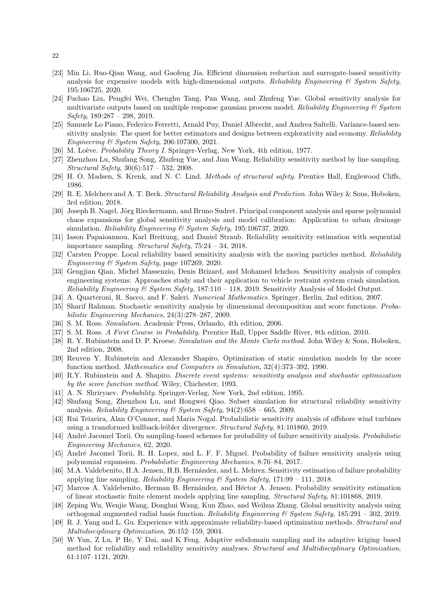- [23] Min Li, Ruo-Qian Wang, and Gaofeng Jia. Efficient dimension reduction and surrogate-based sensitivity analysis for expensive models with high-dimensional outputs. Reliability Engineering  $\mathcal{B}$  System Safety, 195:106725, 2020.
- [24] Fuchao Liu, Pengfei Wei, Chenghu Tang, Pan Wang, and Zhufeng Yue. Global sensitivity analysis for multivariate outputs based on multiple response gaussian process model. Reliability Engineering  $\mathcal{B}$  System  $Safety, 189:287 - 298, 2019.$
- [25] Samuele Lo Piano, Federico Ferretti, Arnald Puy, Daniel Albrecht, and Andrea Saltelli. Variance-based sensitivity analysis: The quest for better estimators and designs between explorativity and economy. Reliability Engineering & System Safety, 206:107300, 2021.
- [26] M. Loève. Probability Theory I. Springer-Verlag, New York, 4th edition, 1977.
- [27] Zhenzhou Lu, Shufang Song, Zhufeng Yue, and Jian Wang. Reliability sensitivity method by line sampling. Structural Safety, 30(6):517 – 532, 2008.
- [28] H. O. Madsen, S. Krenk, and N. C. Lind. *Methods of structural safety*. Prentice Hall, Englewood Cliffs, 1986.
- [29] R. E. Melchers and A. T. Beck. Structural Reliability Analysis and Prediction. John Wiley & Sons, Hoboken, 3rd edition, 2018.
- [30] Joseph B. Nagel, Jörg Rieckermann, and Bruno Sudret. Principal component analysis and sparse polynomial chaos expansions for global sensitivity analysis and model calibration: Application to urban drainage simulation. *Reliability Engineering & System Safety*, 195:106737, 2020.
- [31] Iason Papaioannou, Karl Breitung, and Daniel Straub. Reliability sensitivity estimation with sequential importance sampling. Structural Safety, 75:24 – 34, 2018.
- [32] Carsten Proppe. Local reliability based sensitivity analysis with the moving particles method. Reliability Engineering & System Safety, page 107269, 2020.
- [33] Gengjian Qian, Michel Massenzio, Denis Brizard, and Mohamed Ichchou. Sensitivity analysis of complex engineering systems: Approaches study and their application to vehicle restraint system crash simulation. Reliability Engineering & System Safety,  $187:110 - 118$ , 2019. Sensitivity Analysis of Model Output.
- [34] A. Quarteroni, R. Sacco, and F. Saleri. Numerical Mathematics. Springer, Berlin, 2nd edition, 2007.
- [35] Sharif Rahman. Stochastic sensitivity analysis by dimensional decomposition and score functions. Probabilistic Engineering Mechanics, 24(3):278–287, 2009.
- [36] S. M. Ross. Simulation. Academic Press, Orlando, 4th edition, 2006.
- [37] S. M. Ross. A First Course in Probability. Prentice Hall, Upper Saddle River, 8th edition, 2010.
- [38] R. Y. Rubinstein and D. P. Kroese. Simulation and the Monte Carlo method. John Wiley & Sons, Hoboken, 2nd edition, 2008.
- [39] Reuven Y. Rubinstein and Alexander Shapiro. Optimization of static simulation models by the score function method. Mathematics and Computers in Simulation, 32(4):373–392, 1990.
- [40] R.Y. Rubinstein and A. Shapiro. Discrete event systems: sensitivity analysis and stochastic optimization by the score function method. Wiley, Chichester, 1993.
- [41] A. N. Shriryaev. Probability. Springer-Verlag, New York, 2nd edition, 1995.
- [42] Shufang Song, Zhenzhou Lu, and Hongwei Qiao. Subset simulation for structural reliability sensitivity analysis. Reliability Engineering & System Safety,  $94(2):658 - 665$ , 2009.
- [43] Rui Teixeira, Alan O'Connor, and Maria Nogal. Probabilistic sensitivity analysis of offshore wind turbines using a transformed kullback-leibler divergence. Structural Safety, 81:101860, 2019.
- [44] André Jacomel Torii. On sampling-based schemes for probability of failure sensitivity analysis. Probabilistic Engineering Mechanics, 62, 2020.
- [45] André Jacomel Torii, R. H. Lopez, and L. F. F. Miguel. Probability of failure sensitivity analysis using polynomial expansion. Probabilistic Engineering Mechanics, 8:76–84, 2017.
- [46] M.A. Valdebenito, H.A. Jensen, H.B. Hernández, and L. Mehrez. Sensitivity estimation of failure probability applying line sampling. Reliability Engineering & System Safety,  $171:99 - 111$ ,  $2018$ .
- [47] Marcos A. Valdebenito, Herman B. Hernández, and Héctor A. Jensen. Probability sensitivity estimation of linear stochastic finite element models applying line sampling. Structural Safety, 81:101868, 2019.
- [48] Zeping Wu, Wenjie Wang, Donghui Wang, Kun Zhao, and Weihua Zhang. Global sensitivity analysis using orthogonal augmented radial basis function. Reliability Engineering & System Safety,  $185:291 - 302$ , 2019.
- [49] R. J. Yang and L. Gu. Experience with approximate reliability-based optimization methods. Structural and Multidisciplinary Optimization, 26:152–159, 2004.
- [50] W Yun, Z Lu, P He, Y Dai, and K Feng. Adaptive subdomain sampling and its adaptive kriging–based method for reliability and reliability sensitivity analyses. Structural and Multidisciplinary Optimization, 61:1107–1121, 2020.